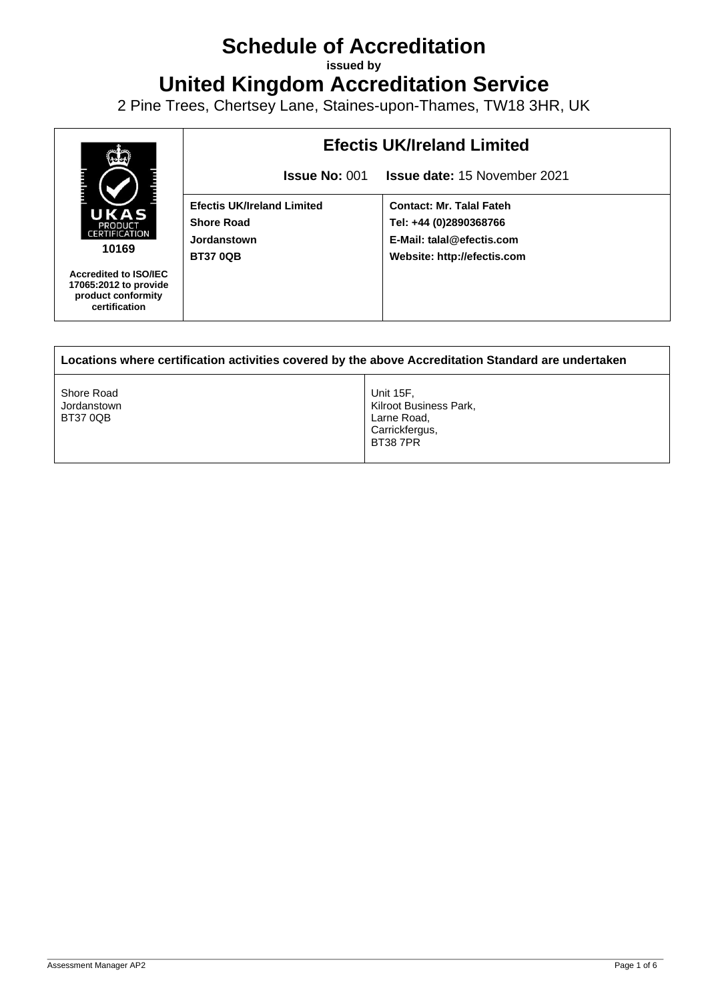## **Schedule of Accreditation**

**issued by**

**United Kingdom Accreditation Service**

2 Pine Trees, Chertsey Lane, Staines-upon-Thames, TW18 3HR, UK



| Locations where certification activities covered by the above Accreditation Standard are undertaken |                                                                                        |  |  |
|-----------------------------------------------------------------------------------------------------|----------------------------------------------------------------------------------------|--|--|
| Shore Road<br>Jordanstown<br><b>BT37 0QB</b>                                                        | Unit 15F.<br>Kilroot Business Park,<br>Larne Road,<br>Carrickfergus,<br><b>BT387PR</b> |  |  |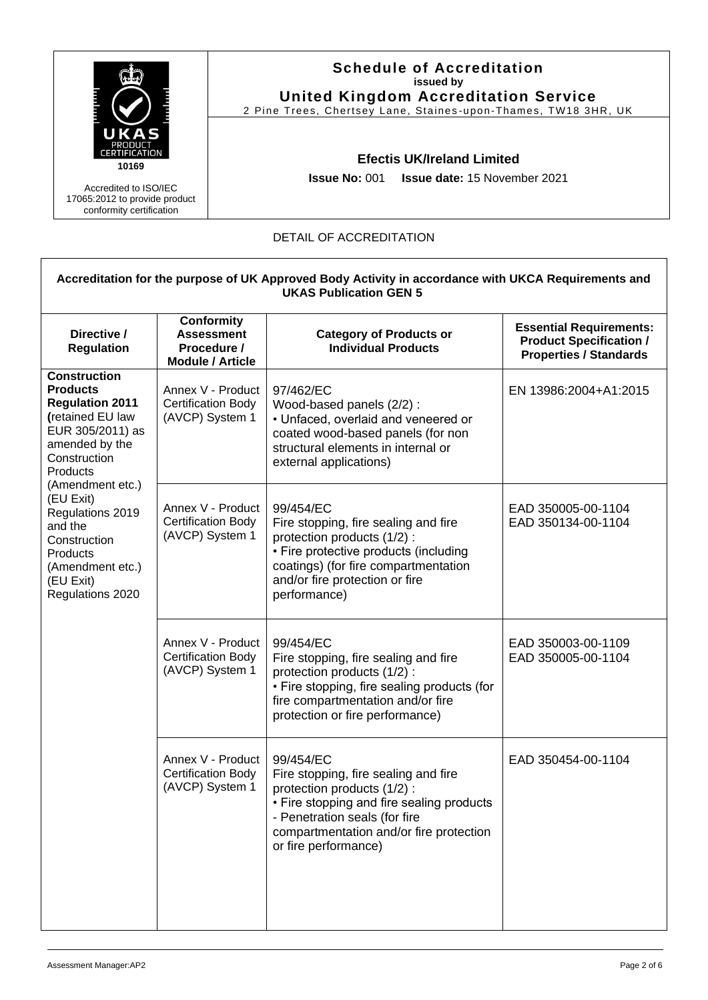

## DETAIL OF ACCREDITATION

| Accreditation for the purpose of UK Approved Body Activity in accordance with UKCA Requirements and<br><b>UKAS Publication GEN 5</b>                                                                                                                                                                    |                                                                                  |                                                                                                                                                                                                                                   |                                                                                                   |  |
|---------------------------------------------------------------------------------------------------------------------------------------------------------------------------------------------------------------------------------------------------------------------------------------------------------|----------------------------------------------------------------------------------|-----------------------------------------------------------------------------------------------------------------------------------------------------------------------------------------------------------------------------------|---------------------------------------------------------------------------------------------------|--|
| Directive /<br><b>Regulation</b>                                                                                                                                                                                                                                                                        | <b>Conformity</b><br><b>Assessment</b><br>Procedure /<br><b>Module / Article</b> | <b>Category of Products or</b><br><b>Individual Products</b>                                                                                                                                                                      | <b>Essential Requirements:</b><br><b>Product Specification /</b><br><b>Properties / Standards</b> |  |
| <b>Construction</b><br><b>Products</b><br><b>Regulation 2011</b><br>(retained EU law<br>EUR 305/2011) as<br>amended by the<br>Construction<br>Products<br>(Amendment etc.)<br>(EU Exit)<br>Regulations 2019<br>and the<br>Construction<br>Products<br>(Amendment etc.)<br>(EU Exit)<br>Regulations 2020 | Annex V - Product<br><b>Certification Body</b><br>(AVCP) System 1                | 97/462/EC<br>Wood-based panels (2/2):<br>• Unfaced, overlaid and veneered or<br>coated wood-based panels (for non<br>structural elements in internal or<br>external applications)                                                 | EN 13986:2004+A1:2015                                                                             |  |
|                                                                                                                                                                                                                                                                                                         | Annex V - Product<br><b>Certification Body</b><br>(AVCP) System 1                | 99/454/EC<br>Fire stopping, fire sealing and fire<br>protection products (1/2):<br>• Fire protective products (including<br>coatings) (for fire compartmentation<br>and/or fire protection or fire<br>performance)                | EAD 350005-00-1104<br>EAD 350134-00-1104                                                          |  |
|                                                                                                                                                                                                                                                                                                         | Annex V - Product<br><b>Certification Body</b><br>(AVCP) System 1                | 99/454/EC<br>Fire stopping, fire sealing and fire<br>protection products (1/2) :<br>• Fire stopping, fire sealing products (for<br>fire compartmentation and/or fire<br>protection or fire performance)                           | EAD 350003-00-1109<br>EAD 350005-00-1104                                                          |  |
|                                                                                                                                                                                                                                                                                                         | Annex V - Product<br><b>Certification Body</b><br>(AVCP) System 1                | 99/454/EC<br>Fire stopping, fire sealing and fire<br>protection products (1/2) :<br>• Fire stopping and fire sealing products<br>- Penetration seals (for fire<br>compartmentation and/or fire protection<br>or fire performance) | EAD 350454-00-1104                                                                                |  |

 $\overline{\phantom{a}}$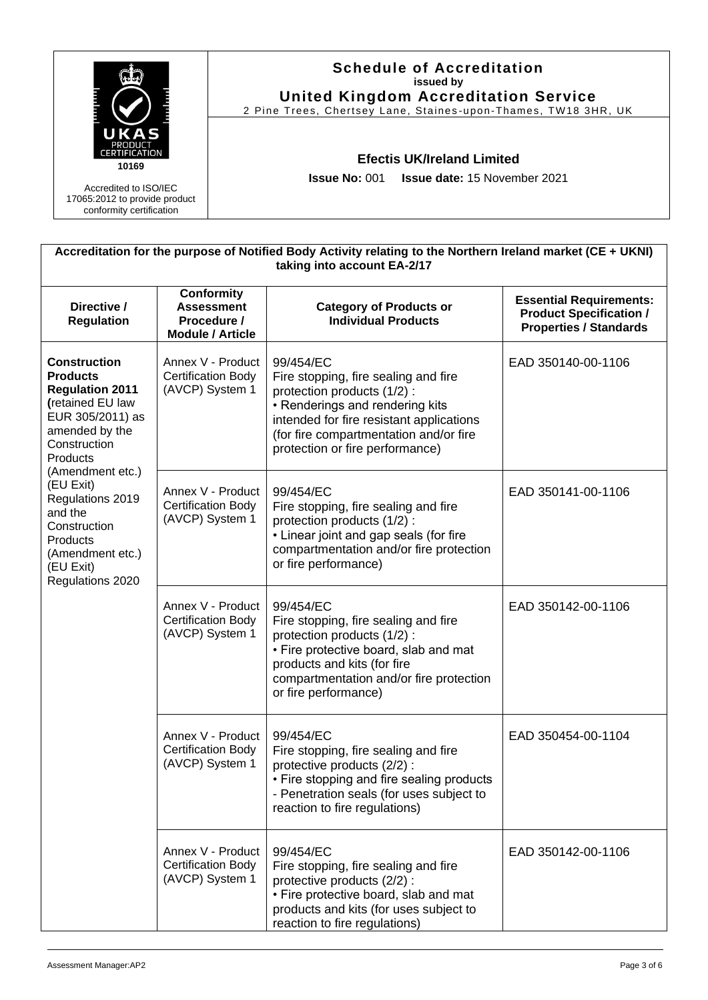|                                                                                    | <b>Schedule of Accreditation</b><br>issued by<br><b>United Kingdom Accreditation Service</b><br>2 Pine Trees, Chertsey Lane, Staines-upon-Thames, TW18 3HR, UK |
|------------------------------------------------------------------------------------|----------------------------------------------------------------------------------------------------------------------------------------------------------------|
| AS<br><b>PRODUCT</b><br><b>ERTIFICATION</b><br>10169                               | <b>Efectis UK/Ireland Limited</b>                                                                                                                              |
| Accredited to ISO/IEC<br>17065:2012 to provide product<br>conformity certification | <b>Issue No: 001 Issue date: 15 November 2021</b>                                                                                                              |

| Accreditation for the purpose of Notified Body Activity relating to the Northern Ireland market (CE + UKNI)<br>taking into account EA-2/17                                                                                                                                                              |                                                                                  |                                                                                                                                                                                                                                             |                                                                                                   |  |
|---------------------------------------------------------------------------------------------------------------------------------------------------------------------------------------------------------------------------------------------------------------------------------------------------------|----------------------------------------------------------------------------------|---------------------------------------------------------------------------------------------------------------------------------------------------------------------------------------------------------------------------------------------|---------------------------------------------------------------------------------------------------|--|
| Directive /<br><b>Regulation</b>                                                                                                                                                                                                                                                                        | <b>Conformity</b><br><b>Assessment</b><br>Procedure /<br><b>Module / Article</b> | <b>Category of Products or</b><br><b>Individual Products</b>                                                                                                                                                                                | <b>Essential Requirements:</b><br><b>Product Specification /</b><br><b>Properties / Standards</b> |  |
| <b>Construction</b><br><b>Products</b><br><b>Regulation 2011</b><br>(retained EU law<br>EUR 305/2011) as<br>amended by the<br>Construction<br>Products<br>(Amendment etc.)<br>(EU Exit)<br>Regulations 2019<br>and the<br>Construction<br>Products<br>(Amendment etc.)<br>(EU Exit)<br>Regulations 2020 | Annex V - Product<br><b>Certification Body</b><br>(AVCP) System 1                | 99/454/EC<br>Fire stopping, fire sealing and fire<br>protection products (1/2):<br>• Renderings and rendering kits<br>intended for fire resistant applications<br>(for fire compartmentation and/or fire<br>protection or fire performance) | EAD 350140-00-1106                                                                                |  |
|                                                                                                                                                                                                                                                                                                         | Annex V - Product<br><b>Certification Body</b><br>(AVCP) System 1                | 99/454/EC<br>Fire stopping, fire sealing and fire<br>protection products (1/2):<br>• Linear joint and gap seals (for fire<br>compartmentation and/or fire protection<br>or fire performance)                                                | EAD 350141-00-1106                                                                                |  |
|                                                                                                                                                                                                                                                                                                         | Annex V - Product<br><b>Certification Body</b><br>(AVCP) System 1                | 99/454/EC<br>Fire stopping, fire sealing and fire<br>protection products (1/2):<br>• Fire protective board, slab and mat<br>products and kits (for fire<br>compartmentation and/or fire protection<br>or fire performance)                  | EAD 350142-00-1106                                                                                |  |
|                                                                                                                                                                                                                                                                                                         | Annex V - Product<br>Certification Body<br>(AVCP) System 1                       | 99/454/EC<br>Fire stopping, fire sealing and fire<br>protective products (2/2) :<br>• Fire stopping and fire sealing products<br>- Penetration seals (for uses subject to<br>reaction to fire regulations)                                  | EAD 350454-00-1104                                                                                |  |
|                                                                                                                                                                                                                                                                                                         | Annex V - Product<br><b>Certification Body</b><br>(AVCP) System 1                | 99/454/EC<br>Fire stopping, fire sealing and fire<br>protective products (2/2) :<br>• Fire protective board, slab and mat<br>products and kits (for uses subject to<br>reaction to fire regulations)                                        | EAD 350142-00-1106                                                                                |  |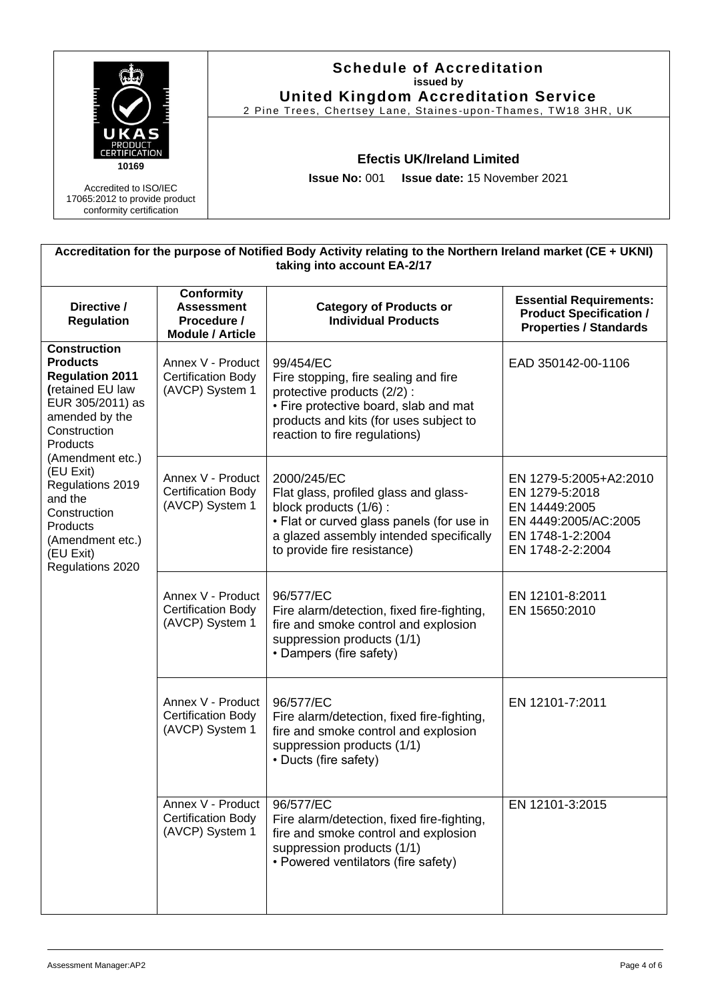|                                                                                    | <b>Schedule of Accreditation</b><br>issued by<br><b>United Kingdom Accreditation Service</b><br>2 Pine Trees, Chertsey Lane, Staines-upon-Thames, TW18 3HR, UK |  |
|------------------------------------------------------------------------------------|----------------------------------------------------------------------------------------------------------------------------------------------------------------|--|
| А<br><b>PRODUCT</b><br><b>ERTIFICATION</b><br>10169                                | <b>Efectis UK/Ireland Limited</b>                                                                                                                              |  |
| Accredited to ISO/IEC<br>17065:2012 to provide product<br>conformity certification | <b>Issue No: 001 Issue date: 15 November 2021</b>                                                                                                              |  |

| Accreditation for the purpose of Notified Body Activity relating to the Northern Ireland market (CE + UKNI)<br>taking into account EA-2/17                                                                                                                                                              |                                                                                  |                                                                                                                                                                                                      |                                                                                                                           |  |
|---------------------------------------------------------------------------------------------------------------------------------------------------------------------------------------------------------------------------------------------------------------------------------------------------------|----------------------------------------------------------------------------------|------------------------------------------------------------------------------------------------------------------------------------------------------------------------------------------------------|---------------------------------------------------------------------------------------------------------------------------|--|
| Directive /<br><b>Regulation</b>                                                                                                                                                                                                                                                                        | <b>Conformity</b><br><b>Assessment</b><br>Procedure /<br><b>Module / Article</b> | <b>Category of Products or</b><br><b>Individual Products</b>                                                                                                                                         | <b>Essential Requirements:</b><br><b>Product Specification /</b><br><b>Properties / Standards</b>                         |  |
| <b>Construction</b><br><b>Products</b><br><b>Regulation 2011</b><br>(retained EU law<br>EUR 305/2011) as<br>amended by the<br>Construction<br>Products<br>(Amendment etc.)<br>(EU Exit)<br>Regulations 2019<br>and the<br>Construction<br>Products<br>(Amendment etc.)<br>(EU Exit)<br>Regulations 2020 | Annex V - Product<br><b>Certification Body</b><br>(AVCP) System 1                | 99/454/EC<br>Fire stopping, fire sealing and fire<br>protective products (2/2) :<br>• Fire protective board, slab and mat<br>products and kits (for uses subject to<br>reaction to fire regulations) | EAD 350142-00-1106                                                                                                        |  |
|                                                                                                                                                                                                                                                                                                         | Annex V - Product<br><b>Certification Body</b><br>(AVCP) System 1                | 2000/245/EC<br>Flat glass, profiled glass and glass-<br>block products (1/6):<br>• Flat or curved glass panels (for use in<br>a glazed assembly intended specifically<br>to provide fire resistance) | EN 1279-5:2005+A2:2010<br>EN 1279-5:2018<br>EN 14449:2005<br>EN 4449:2005/AC:2005<br>EN 1748-1-2:2004<br>EN 1748-2-2:2004 |  |
|                                                                                                                                                                                                                                                                                                         | Annex V - Product<br><b>Certification Body</b><br>(AVCP) System 1                | 96/577/EC<br>Fire alarm/detection, fixed fire-fighting,<br>fire and smoke control and explosion<br>suppression products (1/1)<br>• Dampers (fire safety)                                             | EN 12101-8:2011<br>EN 15650:2010                                                                                          |  |
|                                                                                                                                                                                                                                                                                                         | Annex V - Product<br><b>Certification Body</b><br>(AVCP) System 1                | 96/577/EC<br>Fire alarm/detection, fixed fire-fighting,<br>fire and smoke control and explosion<br>suppression products (1/1)<br>• Ducts (fire safety)                                               | EN 12101-7:2011                                                                                                           |  |
|                                                                                                                                                                                                                                                                                                         | Annex V - Product<br>Certification Body<br>(AVCP) System 1                       | 96/577/EC<br>Fire alarm/detection, fixed fire-fighting,<br>fire and smoke control and explosion<br>suppression products (1/1)<br>• Powered ventilators (fire safety)                                 | EN 12101-3:2015                                                                                                           |  |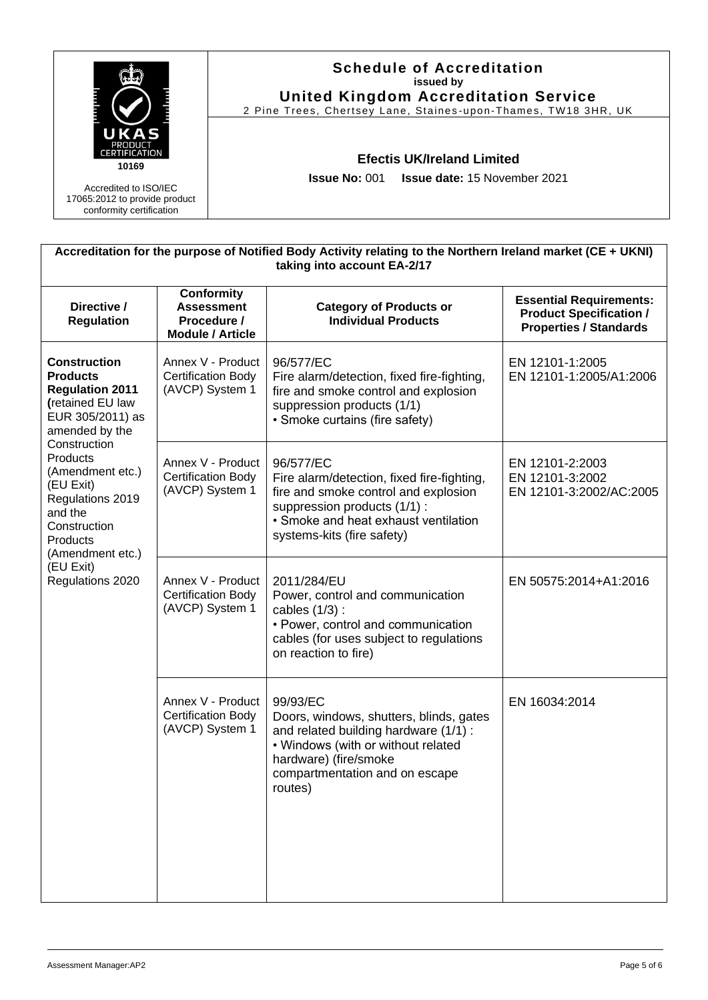|                                                                                    | <b>Schedule of Accreditation</b><br>issued by<br><b>United Kingdom Accreditation Service</b><br>2 Pine Trees, Chertsey Lane, Staines-upon-Thames, TW18 3HR, UK |
|------------------------------------------------------------------------------------|----------------------------------------------------------------------------------------------------------------------------------------------------------------|
| Д<br><b>PRODUCT</b><br><b>CERTIFICATION</b><br>10169                               | <b>Efectis UK/Ireland Limited</b>                                                                                                                              |
| Accredited to ISO/IEC<br>17065:2012 to provide product<br>conformity certification | <b>Issue No: 001 Issue date: 15 November 2021</b>                                                                                                              |

| Accreditation for the purpose of Notified Body Activity relating to the Northern Ireland market (CE + UKNI)<br>taking into account EA-2/17                                                                                                                                                              |                                                                                  |                                                                                                                                                                                                          |                                                                                                   |  |
|---------------------------------------------------------------------------------------------------------------------------------------------------------------------------------------------------------------------------------------------------------------------------------------------------------|----------------------------------------------------------------------------------|----------------------------------------------------------------------------------------------------------------------------------------------------------------------------------------------------------|---------------------------------------------------------------------------------------------------|--|
| Directive /<br><b>Regulation</b>                                                                                                                                                                                                                                                                        | <b>Conformity</b><br><b>Assessment</b><br>Procedure /<br><b>Module / Article</b> | <b>Category of Products or</b><br><b>Individual Products</b>                                                                                                                                             | <b>Essential Requirements:</b><br><b>Product Specification /</b><br><b>Properties / Standards</b> |  |
| <b>Construction</b><br><b>Products</b><br><b>Regulation 2011</b><br>(retained EU law<br>EUR 305/2011) as<br>amended by the<br>Construction<br>Products<br>(Amendment etc.)<br>(EU Exit)<br>Regulations 2019<br>and the<br>Construction<br>Products<br>(Amendment etc.)<br>(EU Exit)<br>Regulations 2020 | Annex V - Product<br><b>Certification Body</b><br>(AVCP) System 1                | 96/577/EC<br>Fire alarm/detection, fixed fire-fighting,<br>fire and smoke control and explosion<br>suppression products (1/1)<br>• Smoke curtains (fire safety)                                          | EN 12101-1:2005<br>EN 12101-1:2005/A1:2006                                                        |  |
|                                                                                                                                                                                                                                                                                                         | Annex V - Product<br><b>Certification Body</b><br>(AVCP) System 1                | 96/577/EC<br>Fire alarm/detection, fixed fire-fighting,<br>fire and smoke control and explosion<br>suppression products (1/1) :<br>• Smoke and heat exhaust ventilation<br>systems-kits (fire safety)    | EN 12101-2:2003<br>EN 12101-3:2002<br>EN 12101-3:2002/AC:2005                                     |  |
|                                                                                                                                                                                                                                                                                                         | Annex V - Product<br><b>Certification Body</b><br>(AVCP) System 1                | 2011/284/EU<br>Power, control and communication<br>cables $(1/3)$ :<br>• Power, control and communication<br>cables (for uses subject to regulations<br>on reaction to fire)                             | EN 50575:2014+A1:2016                                                                             |  |
|                                                                                                                                                                                                                                                                                                         | Annex V - Product<br><b>Certification Body</b><br>(AVCP) System 1                | 99/93/EC<br>Doors, windows, shutters, blinds, gates<br>and related building hardware (1/1) :<br>• Windows (with or without related<br>hardware) (fire/smoke<br>compartmentation and on escape<br>routes) | EN 16034:2014                                                                                     |  |